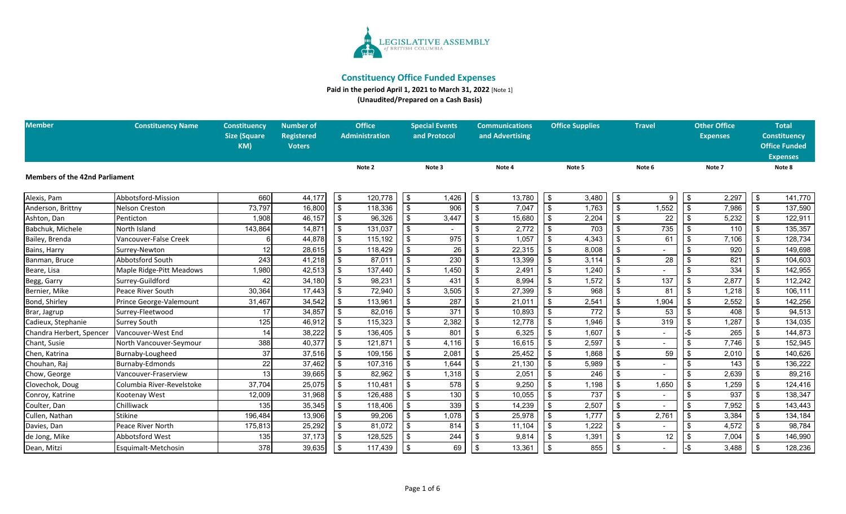

**Paid in the period April 1, 2021 to March 31, 2022** [Note 1]

**(Unaudited/Prepared on a Cash Basis)**

| <b>Member</b>                         | <b>Constituency Name</b>  | <b>Constituency</b> | <b>Number of</b>  | <b>Office</b>         | <b>Special Events</b>     |                  | <b>Communications</b> |        |                           | <b>Office Supplies</b> | <b>Travel</b> |        | <b>Other Office</b> |                 | <b>Total</b>            |                      |
|---------------------------------------|---------------------------|---------------------|-------------------|-----------------------|---------------------------|------------------|-----------------------|--------|---------------------------|------------------------|---------------|--------|---------------------|-----------------|-------------------------|----------------------|
|                                       |                           | <b>Size (Square</b> | <b>Registered</b> | <b>Administration</b> | and Protocol              |                  | and Advertising       |        |                           |                        |               |        |                     | <b>Expenses</b> |                         | <b>Constituency</b>  |
|                                       |                           | KM)                 | <b>Voters</b>     |                       |                           |                  |                       |        |                           |                        |               |        |                     |                 |                         | <b>Office Funded</b> |
|                                       |                           |                     |                   |                       |                           |                  |                       |        |                           |                        |               |        |                     |                 |                         | <b>Expenses</b>      |
| <b>Members of the 42nd Parliament</b> |                           |                     |                   | Note 2                | Note 3                    |                  |                       | Note 4 |                           | Note 5                 |               | Note 6 |                     | Note 7          |                         | Note 8               |
|                                       |                           |                     |                   |                       |                           |                  |                       |        |                           |                        |               |        |                     |                 |                         |                      |
| Alexis, Pam                           | Abbotsford-Mission        | 660                 | 44,177            | \$<br>120,778         | $\sqrt{3}$                | ,426             | \$                    | 13,780 | \$                        | 3,480                  | \$            | g      | -\$                 | 2,297           | \$                      | 141,770              |
| Anderson, Brittny                     | Nelson Creston            | 73,797              | 16,800            | 118,336               | $\overline{\mathbf{3}}$   | 906              |                       | 7,047  | \$                        | 1,763                  | \$            | 1,552  |                     | 7,986           | $\overline{\mathbf{3}}$ | 137,590              |
| Ashton, Dan                           | Penticton                 | 1,908               | 46,157            | 96,326                | \$                        | 3,447            |                       | 15,680 | \$                        | 2,204                  |               | 22     |                     | 5,232           | \$                      | 122,911              |
| Babchuk, Michele                      | North Island              | 143,864             | 14,871            | 131,037               | \$                        |                  |                       | 2,772  | -\$                       | 703                    |               | 735    |                     | 110             | \$                      | 135,357              |
| Bailey, Brenda                        | Vancouver-False Creek     |                     | 44,878            | 115,192               |                           | $\overline{975}$ |                       | 1,057  | \$                        | 4,343                  |               | 61     |                     | 7,106           | \$                      | 128,734              |
| Bains, Harry                          | Surrey-Newton             | 12                  | 28,615            | 118,429               | \$                        | 26               |                       | 22,315 | \$                        | 8,008                  |               |        |                     | 920             | \$                      | 149,698              |
| Banman, Bruce                         | <b>Abbotsford South</b>   | 243                 | 41,218            | 87,011                | - \$                      | 230              |                       | 13,399 | \$                        | 3,114                  |               | 28     |                     | 821             | -\$                     | 104,603              |
| Beare, Lisa                           | Maple Ridge-Pitt Meadows  | 1,980               | 42,513            | 137,440               | $\overline{\mathbf{3}}$   | 1,450            |                       | 2,491  | $\boldsymbol{\hat{\phi}}$ | 1,240                  |               |        |                     | 334             | \$                      | 142,955              |
| Begg, Garry                           | Surrey-Guildford          | 42                  | 34,180            | 98,231                | \$                        | 431              |                       | 8,994  | \$                        | 1,572                  |               | 137    |                     | 2,877           | \$                      | 112,242              |
| Bernier, Mike                         | Peace River South         | 30,364              | 17,443            | 72,940                |                           | 3,505            |                       | 27,399 | - \$                      | 968                    |               | 81     |                     | 1,218           | -\$                     | 106,111              |
| Bond, Shirley                         | Prince George-Valemount   | 31,467              | 34,542            | 113,961               |                           | 287              |                       | 21,011 | \$                        | 2,541                  |               | 1,904  |                     | 2,552           | \$                      | 142,256              |
| Brar, Jagrup                          | Surrey-Fleetwood          | 17                  | 34,857            | \$<br>82,016          | $\boldsymbol{\mathsf{s}}$ | 371              |                       | 10,893 | \$                        | 772                    | \$            | 53     |                     | 408             | \$                      | 94,513               |
| Cadieux, Stephanie                    | <b>Surrey South</b>       | 125                 | 46,912            | 115,323               |                           | 2,382            |                       | 12,778 | -\$                       | 1,946                  |               | 319    |                     | 1,287           |                         | 134,035              |
| Chandra Herbert, Spencer              | Vancouver-West End        | 14                  | 38,222            | 136,405               |                           | 801              |                       | 6,325  | \$                        | 1,607                  |               |        |                     | 265             | -\$                     | 144,873              |
| Chant, Susie                          | North Vancouver-Seymour   | 388                 | 40,377            | 121,871               | \$                        | 4,116            |                       | 16,615 | \$                        | 2,597                  | \$            |        |                     | 7,746           | \$                      | 152,945              |
| Chen, Katrina                         | Burnaby-Lougheed          | 37                  | 37,516            | 109,156               |                           | 2,081            |                       | 25,452 | - \$                      | 1,868                  |               | 59     |                     | 2,010           |                         | 140,626              |
| Chouhan, Raj                          | Burnaby-Edmonds           | 22                  | 37,462            | 107,316               | \$                        | 1,644            |                       | 21,130 | \$                        | 5,989                  |               |        |                     | 143             | -\$                     | 136,222              |
| Chow, George                          | Vancouver-Fraserview      | 13 <sub>l</sub>     | 39,665            | 82,962                | \$                        | 1,318            |                       | 2,051  | \$                        | 246                    | \$            |        |                     | 2,639           | \$                      | 89,216               |
| Clovechok, Doug                       | Columbia River-Revelstoke | 37,704              | 25,075            | 110,481               |                           | 578              |                       | 9,250  | - \$                      | 1,198                  |               | 1,650  |                     | 1,259           | \$                      | 124,416              |
| Conroy, Katrine                       | Kootenay West             | 12,009              | 31,968            | 126,488               | \$                        | 130              |                       | 10,055 | \$                        | 737                    |               |        |                     | 937             |                         | 138,347              |
| Coulter, Dan                          | Chilliwack                | 135                 | 35,345            | 118,406               | \$                        | 339              |                       | 14,239 | \$                        | 2,507                  | \$            |        |                     | 7,952           | -\$                     | 143,443              |
| Cullen, Nathan                        | <b>Stikine</b>            | 196,484             | 13,906            | 99,206                |                           | 1,078            |                       | 25,978 | - \$                      | 1,777                  |               | 2,761  |                     | 3,384           |                         | 134,184              |
| Davies, Dan                           | Peace River North         | 175,813             | 25,292            | 81,072                |                           | 814              |                       | 11,104 | \$                        | 1,222                  |               |        |                     | 4,572           | \$                      | 98,784               |
| de Jong, Mike                         | Abbotsford West           | 135                 | 37,173            | 128,525               | - \$                      | 244              |                       | 9,814  | \$                        | 1,391                  | \$            | 12     |                     | 7,004           | -\$                     | 146,990              |
| Dean, Mitzi                           | Esquimalt-Metchosin       | 378                 | 39,635            | 117,439               | $\frac{3}{2}$             | 69               |                       | 13,361 | \$                        | 855                    | \$            |        |                     | 3,488           | -\$                     | 128,236              |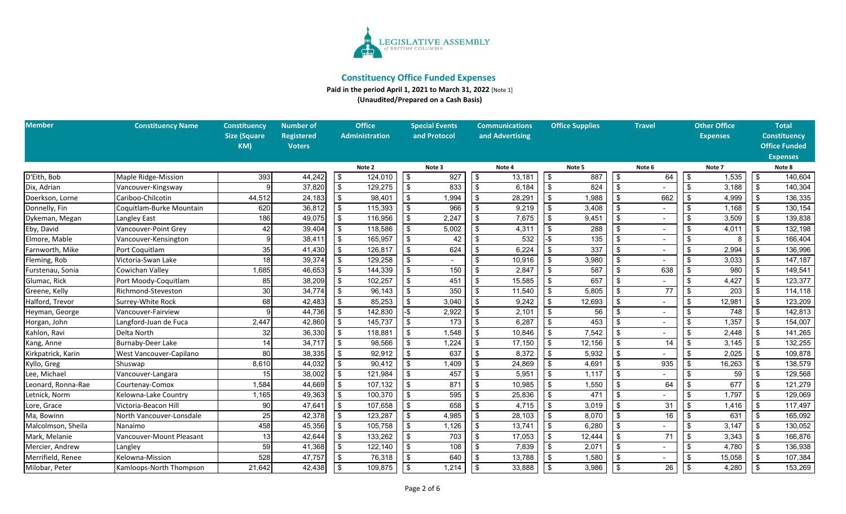

**Paid in the period April 1, 2021 to March 31, 2022** [Note 1]

**(Unaudited/Prepared on a Cash Basis)**

| <b>Member</b>      | <b>Constituency Name</b> | <b>Constituency</b> | <b>Number of</b> | <b>Office</b> |                       | <b>Special Events</b>     |       | <b>Communications</b> |                 | <b>Office Supplies</b> |        | <b>Travel</b>             |     | <b>Other Office</b> |                 | <b>Total</b>              |                      |
|--------------------|--------------------------|---------------------|------------------|---------------|-----------------------|---------------------------|-------|-----------------------|-----------------|------------------------|--------|---------------------------|-----|---------------------|-----------------|---------------------------|----------------------|
|                    |                          | <b>Size (Square</b> | Registered       |               | <b>Administration</b> | and Protocol              |       |                       | and Advertising |                        |        |                           |     |                     | <b>Expenses</b> |                           | <b>Constituency</b>  |
|                    |                          | KM)                 | <b>Voters</b>    |               |                       |                           |       |                       |                 |                        |        |                           |     |                     |                 |                           | <b>Office Funded</b> |
|                    |                          |                     |                  |               |                       |                           |       |                       |                 |                        |        |                           |     |                     |                 |                           | <b>Expenses</b>      |
|                    |                          |                     |                  |               | Note 2                | Note 3                    |       | Note 4                |                 | Note 5                 |        | Note 6                    |     | Note 7              |                 |                           | Note 8               |
| D'Eith, Bob        | Maple Ridge-Mission      | 393                 | 44,242           | \$            | 124,010               | \$                        | 927   | \$                    | 13,181          | $\sqrt{3}$             | 887    | \$                        | 64  | \$                  | 1,535           | \$                        | 140,604              |
| Dix, Adrian        | Vancouver-Kingsway       |                     | 37,820           | \$            | 129,275               | $\sqrt[6]{\frac{1}{2}}$   | 833   | $\sqrt[6]{2}$         | 6,184           | - \$                   | 824    | \$                        |     | \$                  | 3,188           | \$                        | 140,304              |
| Doerkson, Lorne    | Cariboo-Chilcotin        | 44,512              | 24,183           | \$            | 98,401                | $\overline{\mathbf{3}}$   | 1,994 | \$                    | 28,291          | \$                     | 1,988  | $\overline{\mathbf{s}}$   | 662 | \$                  | 4,999           | \$                        | 136,335              |
| Donnelly, Fin      | Coquitlam-Burke Mountain | 620                 | 36,812           | \$            | 115,393               | $\overline{\mathbf{3}}$   | 966   | \$                    | 9,219           | -\$                    | 3,408  | $\overline{\mathfrak{s}}$ |     | \$.                 | 1,168           | \$                        | 130,154              |
| Dykeman, Megan     | Langley East             | 186                 | 49,075           | -\$           | 116,956               | $\overline{\mathbf{e}}$   | 2,247 | \$                    | 7,675           | -\$                    | 9,451  | \$                        |     |                     | 3,509           | \$                        | 139,838              |
| Eby, David         | Vancouver-Point Grey     | 42                  | 39,404           | \$            | 118,586               | $\overline{\mathbf{s}}$   | 5,002 | \$                    | 4,311           |                        | 288    |                           |     |                     | 4,011           | \$                        | 132,198              |
| Elmore, Mable      | Vancouver-Kensington     |                     | 38,411           | \$            | 165,957               | \$                        | 42    |                       | 532             |                        | 135    | \$                        |     | \$.                 |                 | \$                        | 166,404              |
| Farnworth, Mike    | Port Coquitlam           | 35                  | 41,430           |               | 126,817               | $\overline{\mathbf{s}}$   | 624   | \$                    | 6,224           |                        | 337    |                           |     |                     | 2,994           | \$                        | 136,996              |
| Fleming, Rob       | Victoria-Swan Lake       | 18                  | 39,374           |               | 129,258               | $\overline{\mathbf{3}}$   |       | \$                    | 10,916          |                        | 3,980  | \$                        |     |                     | 3,033           | \$                        | 147,187              |
| Furstenau, Sonia   | Cowichan Valley          | 1,685               | 46,653           |               | 144,339               | $\overline{\mathbf{3}}$   | 150   | \$                    | 2,847           |                        | 587    |                           | 638 |                     | 980             | \$                        | 149,541              |
| Glumac, Rick       | Port Moody-Coquitlam     | 85                  | 38,209           |               | 102,257               | $\sqrt[6]{\frac{1}{2}}$   | 451   | \$                    | 15,585          |                        | 657    |                           |     |                     | 4,427           | \$                        | 123,377              |
| Greene, Kelly      | Richmond-Steveston       | 30                  | 34,774           |               | 96,143                | \$                        | 350   | \$                    | 11,540          | \$                     | 5,805  |                           | 77  | \$                  | 203             | \$                        | 114,118              |
| Halford, Trevor    | Surrey-White Rock        | 68                  | 42,483           |               | 85,253                | $\sqrt[6]{3}$             | 3,040 | \$                    | 9,242           |                        | 12,693 | \$                        |     |                     | 12,981          | \$                        | 123,209              |
| Heyman, George     | Vancouver-Fairview       |                     | 44,736           |               | 142,830               | $-$ \$                    | 2,922 | \$                    | 2,101           | \$                     | 56     | \$                        |     | \$                  | 748             | \$                        | 142,813              |
| Horgan, John       | Langford-Juan de Fuca    | 2,447               | 42,860           |               | 145,737               | $\mathfrak{s}$            | 173   | \$                    | 6,287           | -\$                    | 453    | -\$                       |     | \$                  | 1,357           | \$                        | 154,007              |
| Kahlon, Ravi       | Delta North              | 32                  | 36,330           | \$            | 118,881               | $\sqrt[6]{\frac{1}{2}}$   | 1,548 | \$                    | 10,846          | \$                     | 7,542  |                           |     |                     | 2,448           | $\sqrt[6]{3}$             | 141,265              |
| Kang, Anne         | Burnaby-Deer Lake        | 14                  | 34,717           |               | 98,566                | $\sqrt[6]{3}$             | 1,224 | \$                    | 17,150          |                        | 12,156 |                           | 14  | \$                  | 3,145           | \$                        | 132,255              |
| Kirkpatrick, Karin | West Vancouver-Capilano  | 80                  | 38,335           |               | 92,912                | $\sqrt[6]{\frac{1}{2}}$   | 637   | \$                    | 8,372           | \$                     | 5,932  | \$                        |     | \$.                 | 2,025           | \$                        | 109,878              |
| Kyllo, Greg        | Shuswap                  | 8,610               | 44,032           |               | 90,412                | $\mathfrak{s}$            | 1,409 | \$                    | 24,869          |                        | 4,691  | $\mathfrak{L}$            | 935 |                     | 16,263          | $\boldsymbol{\mathsf{s}}$ | 138,579              |
| Lee, Michael       | Vancouver-Langara        | 15                  | 38,002           |               | 121,984               | $\sqrt[6]{\frac{1}{2}}$   | 457   | \$                    | 5,951           | -\$                    | 1,117  | \$                        |     |                     | 59              | \$                        | 129,568              |
| Leonard, Ronna-Rae | Courtenay-Comox          | 1,584               | 44,669           | \$            | 107,132               | $\sqrt[6]{\frac{1}{2}}$   | 871   | \$                    | 10,985          | \$                     | 1,550  | -\$                       | 64  |                     | 677             | \$                        | 121,279              |
| Letnick, Norm      | Kelowna-Lake Country     | 1,165               | 49,363           | \$            | 100,370               | $\sqrt[6]{\frac{1}{2}}$   | 595   | \$                    | 25,836          |                        | 471    |                           |     |                     | 1,797           | \$                        | 129,069              |
| Lore, Grace        | Victoria-Beacon Hill     | 90                  | 47,641           |               | 107,658               | $\sqrt[6]{3}$             | 658   | \$                    | 4,715           | \$                     | 3,019  | \$                        | 31  | \$                  | 1,416           | \$                        | 117,497              |
| Ma, Bowinn         | North Vancouver-Lonsdale | 25                  | 42,378           |               | 123,287               | $\sqrt[6]{\frac{1}{2}}$   | 4,985 | \$                    | 28,103          | -\$                    | 8,070  | \$                        | 16  | \$                  | 631             | \$                        | 165,092              |
| Malcolmson, Sheila | Nanaimo                  | 458                 | 45,356           |               | 105,758               | $\boldsymbol{\mathsf{S}}$ | 1,126 | \$                    | 13,741          | -\$                    | 6,280  | \$                        |     | \$                  | 3,147           | -\$                       | 130,052              |
| Mark, Melanie      | Vancouver-Mount Pleasant | 13                  | 42.644           | \$            | 133,262               | $\sqrt[6]{\frac{1}{2}}$   | 703   | \$                    | 17,053          | \$                     | 12,444 | \$                        | 71  | \$                  | 3,343           | \$                        | 166,876              |
| Mercier, Andrew    | Langley                  | 59                  | 41,368           | \$            | 122,140               | \$                        | 108   | \$                    | 7,839           | -\$                    | 2,071  |                           |     | \$                  | 4,780           | \$                        | 136,938              |
| Merrifield, Renee  | Kelowna-Mission          | 528                 | 47,757           |               | 76,318                | \$                        | 640   | \$                    | 13,788          |                        | 1,580  | \$                        |     | \$                  | 15,058          | \$                        | 107,384              |
| Milobar, Peter     | Kamloops-North Thompson  | 21,642              | 42,438           |               | 109,875               | $\overline{\mathcal{S}}$  | 1,214 | $\overline{\$}$       | 33,888          | \$                     | 3,986  | ها                        | 26  | \$                  | 4,280           | \$                        | 153,269              |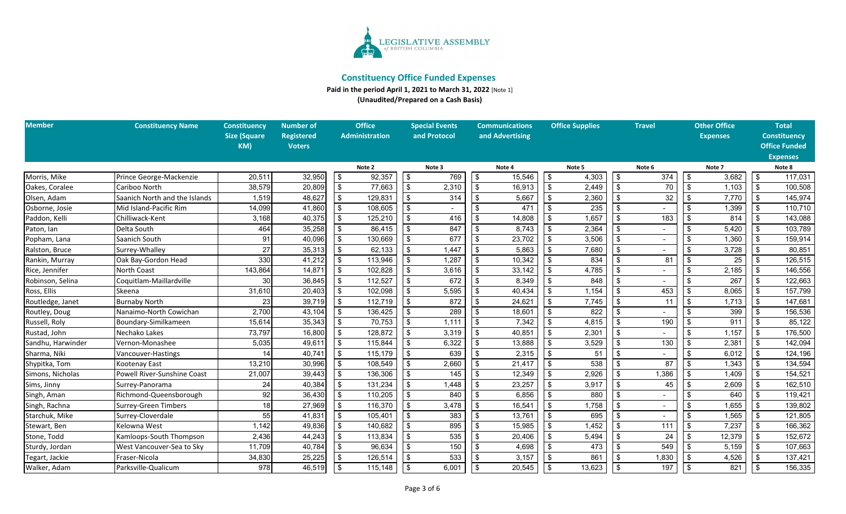

**Paid in the period April 1, 2021 to March 31, 2022** [Note 1]

**(Unaudited/Prepared on a Cash Basis)**

| <b>Member</b>     | <b>Constituency Name</b>      | <b>Constituency</b> | <b>Number of</b>  | <b>Office</b>         |         |                         | <b>Special Events</b> | <b>Communications</b> |                 | <b>Office Supplies</b> |        | <b>Travel</b>  |        | <b>Other Office</b> |                 | <b>Total</b>              |                      |
|-------------------|-------------------------------|---------------------|-------------------|-----------------------|---------|-------------------------|-----------------------|-----------------------|-----------------|------------------------|--------|----------------|--------|---------------------|-----------------|---------------------------|----------------------|
|                   |                               | <b>Size (Square</b> | <b>Registered</b> | <b>Administration</b> |         |                         | and Protocol          |                       | and Advertising |                        |        |                |        |                     | <b>Expenses</b> |                           | <b>Constituency</b>  |
|                   |                               | KM)                 | <b>Voters</b>     |                       |         |                         |                       |                       |                 |                        |        |                |        |                     |                 |                           | <b>Office Funded</b> |
|                   |                               |                     |                   |                       |         |                         |                       |                       |                 |                        |        |                |        |                     |                 |                           | <b>Expenses</b>      |
|                   |                               |                     |                   |                       | Note 2  |                         | Note 3                |                       | Note 4          |                        | Note 5 |                | Note 6 |                     | Note 7          |                           | Note 8               |
| Morris, Mike      | Prince George-Mackenzie       | 20.511              | 32,950            | \$                    | 92,357  | $\sqrt[6]{3}$           | 769                   | \$                    | 15,546          | $\sqrt{3}$             | 4,303  | \$             | 374    | \$                  | 3,682           | \$                        | 117,031              |
| Oakes, Coralee    | Cariboo North                 | 38,579              | 20,809            | \$                    | 77,663  | $\frac{1}{2}$           | 2,310                 | \$                    | 16,913          | \$                     | 2,449  | \$             | 70     | \$                  | 1,103           | \$                        | 100,508              |
| Olsen, Adam       | Saanich North and the Islands | 1,519               | 48,627            | \$                    | 129,831 | $\frac{1}{2}$           | 314                   | \$                    | 5,667           | - \$                   | 2,360  | $\mathfrak{L}$ | 32     | \$                  | 7,770           | \$                        | 145,974              |
| Osborne, Josie    | Mid Island-Pacific Rim        | 14,099              | 41,860            | \$                    | 108,605 | $\frac{1}{2}$           |                       | \$                    | 471             |                        | 235    | $\mathbf{\$}$  |        | \$                  | 1,399           | \$                        | 110,710              |
| Paddon, Kelli     | Chilliwack-Kent               | 3,168               | 40,375            | $\sqrt[6]{2}$         | 125,210 | $\overline{\mathbf{e}}$ | 416                   | \$                    | 14,808          | $\mathbf{\hat{s}}$     | 1,657  | $\mathfrak s$  | 183    | \$                  | 814             | \$                        | 143,088              |
| Paton, Ian        | Delta South                   | 464                 | 35,258            | \$                    | 86,415  | $\frac{1}{2}$           | 847                   | -\$                   | 8,743           |                        | 2,364  |                |        | \$.                 | 5,420           | \$                        | 103,789              |
| Popham, Lana      | Saanich South                 | 91                  | 40,096            | \$                    | 130,669 | $\bullet$               | 677                   | \$                    | 23,702          | - \$                   | 3,506  | \$             |        | \$                  | 1,360           | \$                        | 159,914              |
| Ralston, Bruce    | Surrey-Whalley                | 27                  | 35,313            | \$                    | 62,133  | $\sqrt[6]{3}$           | 1,447                 | \$                    | 5,863           |                        | 7,680  | $\mathfrak{L}$ |        | \$                  | 3,728           | \$                        | 80,851               |
| Rankin, Murray    | Oak Bay-Gordon Head           | 330                 | 41,212            | \$                    | 113,946 | $\overline{\mathbf{e}}$ | 1,287                 | \$                    | 10,342          | - \$                   | 834    | \$             | 81     | \$                  | 25              | \$                        | 126,515              |
| Rice, Jennifer    | North Coast                   | 143,864             | 14,871            | \$                    | 102,828 | \$                      | 3,616                 | \$                    | 33,142          | -\$                    | 4,785  | \$             |        |                     | 2,185           | \$                        | 146,556              |
| Robinson, Selina  | Coquitlam-Maillardville       | 30                  | 36,845            | $\sqrt[6]{2}$         | 112,527 | $$\mathfrak{s}$$        | 672                   | -\$                   | 8,349           |                        | 848    |                |        |                     | 267             | \$                        | 122,663              |
| Ross, Ellis       | Skeena                        | 31,610              | 20,403            | \$                    | 102,098 | $\sqrt[6]{2}$           | 5,595                 | \$                    | 40,434          | - \$                   | 1,154  |                | 453    | \$                  | 8,065           | \$                        | 157,799              |
| Routledge, Janet  | <b>Burnaby North</b>          | 23                  | 39,719            | \$                    | 112,719 | $\sqrt{3}$              | 872                   |                       | 24,621          | -\$                    | 7,745  |                | 11     | \$                  | 1,713           | \$                        | 147,681              |
| Routley, Doug     | Nanaimo-North Cowichan        | 2,700               | 43,104            | \$                    | 136,425 | $\frac{1}{2}$           | 289                   | \$                    | 18,601          | - \$                   | 822    | \$             |        | \$                  | 399             | \$                        | 156,536              |
| Russell, Roly     | Boundary-Similkameen          | 15,614              | 35,343            | $\sqrt[6]{2}$         | 70,753  | $\frac{1}{2}$           | 1,111                 | \$                    | 7,342           | -\$                    | 4,815  | \$             | 190    | \$                  | 911             | \$                        | 85,122               |
| Rustad, John      | Nechako Lakes                 | 73,797              | 16,800            | $\sqrt[6]{2}$         | 128,872 | $$\mathfrak{s}$$        | 3,319                 | \$                    | 40,851          | -\$                    | 2,301  |                |        | \$                  | 1,157           | \$                        | 176,500              |
| Sandhu, Harwinder | Vernon-Monashee               | 5,035               | 49,611            | \$                    | 115,844 | \$                      | 6,322                 | \$                    | 13,888          |                        | 3,529  | \$             | 130    | \$                  | 2,381           | \$                        | 142,094              |
| Sharma, Niki      | Vancouver-Hastings            | 14                  | 40,741            | \$                    | 115,179 | \$                      | 639                   | \$                    | 2,315           |                        | 51     |                |        |                     | 6,012           | \$                        | 124,196              |
| Shypitka, Tom     | Kootenay East                 | 13,210              | 30,996            | $\sqrt[6]{2}$         | 108,549 | \$                      | 2,660                 | \$                    | 21,417          |                        | 538    |                | 87     |                     | 1,343           | \$                        | 134,594              |
| Simons, Nicholas  | Powell River-Sunshine Coast   | 21,007              | 39,443            | \$                    | 136,306 | \$                      | 145                   | -\$                   | 12,349          | -\$                    | 2,926  | \$             | 1,386  | \$                  | 1,409           | \$                        | 154,521              |
| Sims, Jinny       | Surrey-Panorama               | 24                  | 40,384            | \$                    | 131,234 | $\frac{1}{2}$           | 1,448                 | -\$                   | 23,257          | -\$                    | 3,917  |                | 45     |                     | 2,609           | $\sqrt[6]{3}$             | 162,510              |
| Singh, Aman       | Richmond-Queensborough        | 92                  | 36,430            | \$                    | 110,205 | $\sqrt[6]{2}$           | 840                   |                       | 6,856           |                        | 880    |                |        |                     | 640             | \$                        | 119,421              |
| Singh, Rachna     | <b>Surrey-Green Timbers</b>   | 18                  | 27,969            | \$                    | 116,370 | \$                      | 3,478                 | \$                    | 16,541          | -\$                    | 1,758  | \$             |        | \$                  | 1,655           | \$                        | 139,802              |
| Starchuk, Mike    | Surrey-Cloverdale             | 55                  | 41,831            | \$                    | 105,401 | \$                      | 383                   | \$                    | 13,761          | -\$                    | 695    | $\mathbf{\$}$  |        | \$                  | 1,565           | \$                        | 121,805              |
| Stewart, Ben      | Kelowna West                  | 1,142               | 49,836            | \$                    | 140,682 | $\sqrt[6]{2}$           | 895                   | $\sqrt{3}$            | 15,985          | \$                     | 1,452  | \$             | 111    | \$                  | 7,237           | \$                        | 166,362              |
| Stone, Todd       | Kamloops-South Thompson       | 2,436               | 44,243            | \$                    | 113,834 | \$                      | 535                   | \$                    | 20,406          | $\mathbf{\hat{s}}$     | 5,494  | $\mathbf{\$}$  | 24     |                     | 12,379          | \$                        | 152,672              |
| Sturdy, Jordan    | West Vancouver-Sea to Sky     | 11,709              | 40,784            | \$                    | 96,634  | $\frac{1}{2}$           | 150                   | \$                    | 4,698           |                        | 473    |                | 549    | \$                  | 5,159           | \$                        | 107,663              |
| Tegart, Jackie    | Fraser-Nicola                 | 34,830              | 25,225            | \$                    | 126,514 | \$                      | 533                   | \$                    | 3,157           |                        | 861    |                | 1,830  | \$                  | 4,526           | \$                        | 137,421              |
| Walker, Adam      | Parksville-Qualicum           | 978                 | 46,519            | \$                    | 115,148 | $\bullet$               | 6,001                 | $\sqrt[6]{3}$         | 20,545          | $\mathbf{s}$           | 13,623 | \$             | 197    | \$                  | 821             | $\boldsymbol{\mathsf{s}}$ | 156,335              |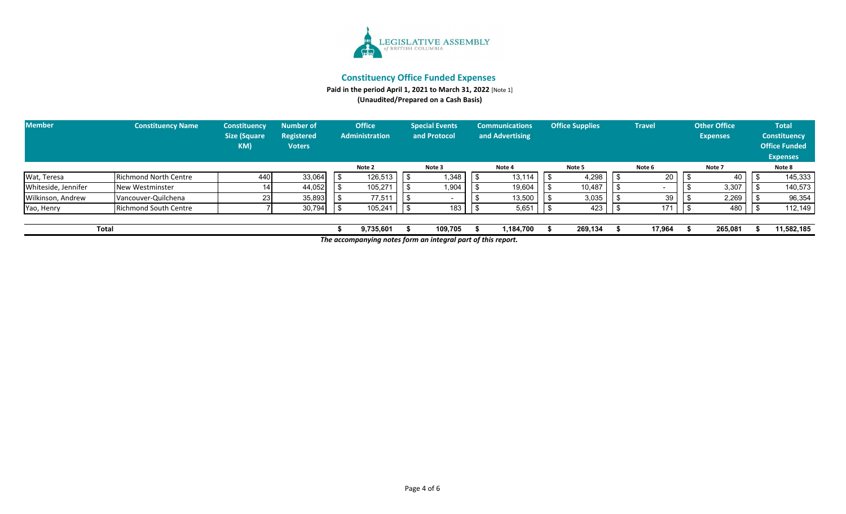

**Paid in the period April 1, 2021 to March 31, 2022** [Note 1]

**(Unaudited/Prepared on a Cash Basis)**

| <b>Member</b>       | <b>Constituency Name</b>     | <b>Office</b><br><b>Number of</b><br><b>Constituency</b><br><b>Size (Square</b><br><b>Administration</b><br>Registered<br>KM)<br><b>Voters</b> |        | <b>Special Events</b><br>and Protocol | <b>Communications</b><br>and Advertising |         |  | <b>Office Supplies</b> | <b>Travel</b> |         | Other Office<br><b>Expenses</b> | <b>Total</b><br><b>Constituency</b><br><b>Office Funded</b><br><b>Expenses</b> |         |  |            |
|---------------------|------------------------------|------------------------------------------------------------------------------------------------------------------------------------------------|--------|---------------------------------------|------------------------------------------|---------|--|------------------------|---------------|---------|---------------------------------|--------------------------------------------------------------------------------|---------|--|------------|
|                     |                              |                                                                                                                                                |        | Note 2                                |                                          | Note 3  |  | Note 4                 |               | Note 5  |                                 | Note 6                                                                         | Note 7  |  | Note 8     |
| Wat, Teresa         | <b>Richmond North Centre</b> | 440                                                                                                                                            | 33,064 | 126,513                               |                                          | 1,348   |  | 13,114                 |               | 4,298   |                                 | 20                                                                             | 40      |  | 145,333    |
| Whiteside, Jennifer | New Westminster              |                                                                                                                                                | 44,052 | 105,271                               |                                          | 1,904   |  | 19,604                 |               | 10,487  |                                 |                                                                                | 3,307   |  | 140,573    |
| Wilkinson, Andrew   | Vancouver-Quilchena          |                                                                                                                                                | 35,893 | 77,511                                |                                          |         |  | 13,500                 |               | 3,035   |                                 | 39                                                                             | 2,269   |  | 96,354     |
| Yao, Henry          | <b>Richmond South Centre</b> |                                                                                                                                                | 30,794 | 105,241                               |                                          | 183     |  | 5,651                  |               | 423     |                                 | 17'                                                                            | 480     |  | 112,149    |
|                     | <b>Total</b>                 |                                                                                                                                                |        | 9,735,601                             |                                          | 109.705 |  | 1,184,700              |               | 269,134 |                                 | 17,964                                                                         | 265,081 |  | 11,582,185 |

*The accompanying notes form an integral part of this report.*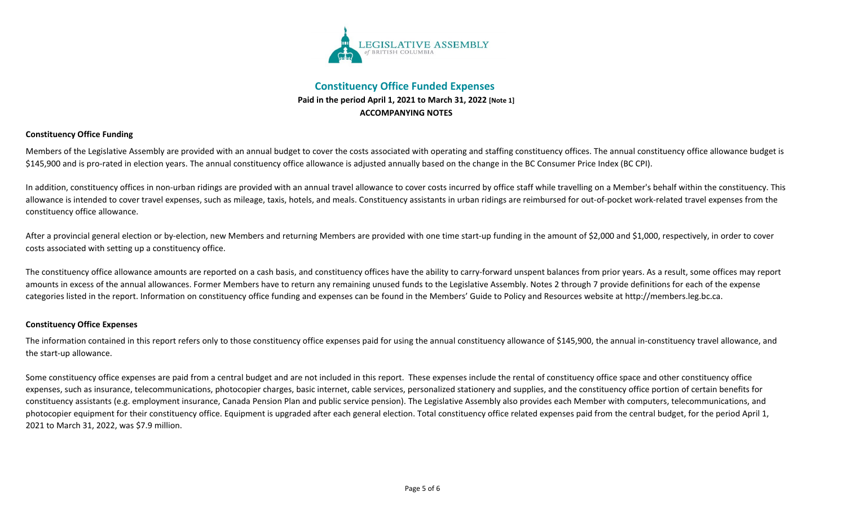

## **Constituency Office Funded Expenses Paid in the period April 1, 2021 to March 31, 2022 [Note 1] ACCOMPANYING NOTES**

### **Constituency Office Funding**

Members of the Legislative Assembly are provided with an annual budget to cover the costs associated with operating and staffing constituency offices. The annual constituency office allowance budget is \$145,900 and is pro-rated in election years. The annual constituency office allowance is adjusted annually based on the change in the BC Consumer Price Index (BC CPI).

In addition, constituency offices in non-urban ridings are provided with an annual travel allowance to cover costs incurred by office staff while travelling on a Member's behalf within the constituency. This allowance is intended to cover travel expenses, such as mileage, taxis, hotels, and meals. Constituency assistants in urban ridings are reimbursed for out-of-pocket work-related travel expenses from the constituency office allowance.

After a provincial general election or by-election, new Members and returning Members are provided with one time start-up funding in the amount of \$2,000 and \$1,000, respectively, in order to cover costs associated with setting up a constituency office.

The constituency office allowance amounts are reported on a cash basis, and constituency offices have the ability to carry-forward unspent balances from prior years. As a result, some offices may report amounts in excess of the annual allowances. Former Members have to return any remaining unused funds to the Legislative Assembly. Notes 2 through 7 provide definitions for each of the expense categories listed in the report. Information on constituency office funding and expenses can be found in the Members' Guide to Policy and Resources website at http://members.leg.bc.ca.

#### **Constituency Office Expenses**

The information contained in this report refers only to those constituency office expenses paid for using the annual constituency allowance of \$145,900, the annual in-constituency travel allowance, and the start-up allowance.

Some constituency office expenses are paid from a central budget and are not included in this report. These expenses include the rental of constituency office space and other constituency office expenses, such as insurance, telecommunications, photocopier charges, basic internet, cable services, personalized stationery and supplies, and the constituency office portion of certain benefits for constituency assistants (e.g. employment insurance, Canada Pension Plan and public service pension). The Legislative Assembly also provides each Member with computers, telecommunications, and photocopier equipment for their constituency office. Equipment is upgraded after each general election. Total constituency office related expenses paid from the central budget, for the period April 1, 2021 to March 31, 2022, was \$7.9 million.